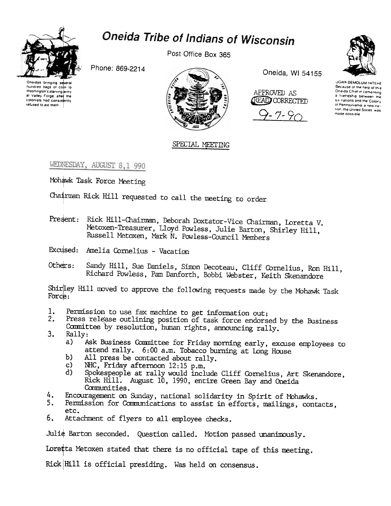

## Oneida Tribe of Indians of Wisconsin

Post Office Box 365



Phone: 869-2214

Oneidas bringing se hundred bags of coin to Washington's starving army at Valley Forge, after the colonists had consistently refused to aid them.



Oneida, WI 54155



 $7 - 90$ 

**UGWA DEMOLUM YATEHE** Because of the help of this Oneida Chief in cementing a triendship between the six nations and the Colony of Pennsylvania, a new nation, the United States, was made possible

## SPECIAL MEETING

WEDNESDAY, AUGUST 8,1 990

Mohawk Task Force Meeting

Chairman Rick Hill requested to call the meeting to order.

- Present: Rick Hill-Chairman, Deborah Doxtator-Vice Chairman, Loretta V. Metoxen-Treasurer, Lloyd Powless, Julie Barton, Shirley Hill, Russell Metoxen, Mark N. Powless-Council Members
- Excused: Amelia Cornelius Vacation
- Sandy Hill, Sue Daniels, Simon Decoteau, Cliff Cornelius, Ron Hill, Others: Richard Powless, Pam Danforth, Bobbi Webster, Keith Skenandore

Shirley Hill moved to approve the following requests made by the Mohawk Task Force:

- Permission to use fax machine to get information out; 1.
- Press release outlining position of task force endorsed by the Business  $2.$ Committee by resolution, human rights, announcing rally.
- $3.$ Rally:
	- Ask Business Committee for Friday morning early, excuse employees to  $a)$ attend rally. 6:00 a.m. Tobacco burning at Long House
	- $b)$ All press be contacted about rally.
	- NHC, Friday afternoon 12:15 p.m.  $\mathbf{c}$
	- Spokespeople at rally would include Cliff Cornelius, Art Skenandore, d) Rick Hill. August 10, 1990, entire Green Bay and Oneida Communities.
- 4. Encouragement on Sunday, national solidarity in Spirit of Mohawks.
- $5.$ Permission for Communications to assist in efforts, mailings, contacts, etc.
- $6.$ Attachment of flyers to all employee checks.

Julie Barton seconded. Question called. Motion passed unanimously.

Loretta Metoxen stated that there is no official tape of this meeting.

Rick Hill is official presiding. Was held on consensus.